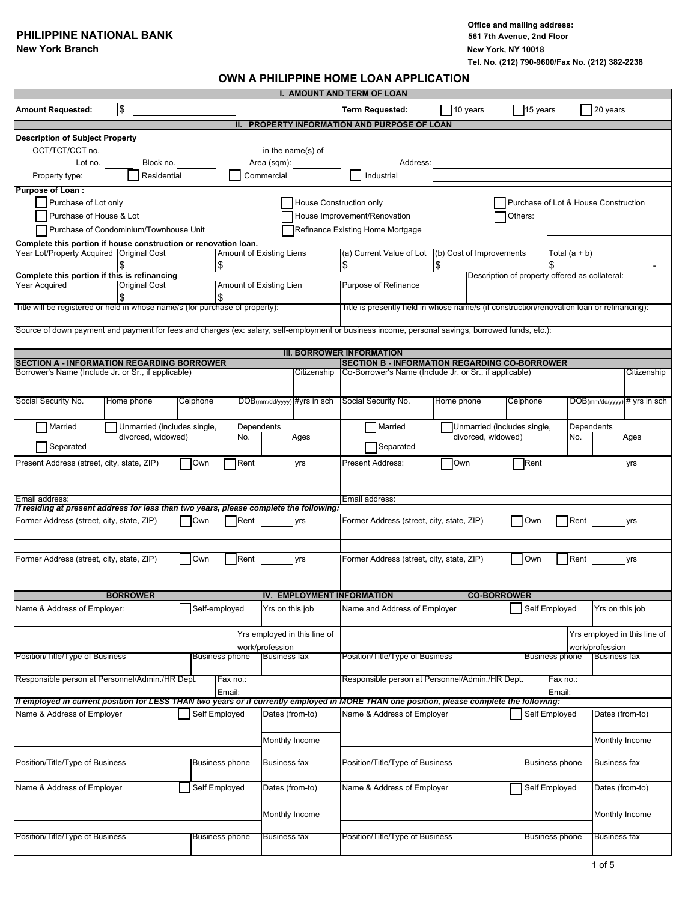#### **PHILIPPINE NATIONAL BANK**

**Office and mailing address: New York Branch New York, NY 10018 Tel. No. (212) 790-9600/Fax No. (212) 382-2238**

#### **OWN A PHILIPPINE HOME LOAN APPLICATION**

|                                                                                                                                                   |                                        |                |                          |                     | <b>I. AMOUNT AND TERM OF LOAN</b> |    |                                                                                           |            |                                                |                                      |                       |                     |                                 |
|---------------------------------------------------------------------------------------------------------------------------------------------------|----------------------------------------|----------------|--------------------------|---------------------|-----------------------------------|----|-------------------------------------------------------------------------------------------|------------|------------------------------------------------|--------------------------------------|-----------------------|---------------------|---------------------------------|
| <b>Amount Requested:</b>                                                                                                                          | \$                                     |                |                          |                     |                                   |    | <b>Term Requested:</b>                                                                    |            | 10 years                                       | 15 years                             |                       | 20 years            |                                 |
|                                                                                                                                                   |                                        |                |                          |                     |                                   |    | II. PROPERTY INFORMATION AND PURPOSE OF LOAN                                              |            |                                                |                                      |                       |                     |                                 |
| <b>Description of Subject Property</b>                                                                                                            |                                        |                |                          |                     |                                   |    |                                                                                           |            |                                                |                                      |                       |                     |                                 |
| OCT/TCT/CCT no.                                                                                                                                   |                                        |                |                          |                     | in the name(s) of                 |    |                                                                                           |            |                                                |                                      |                       |                     |                                 |
| Lot no.                                                                                                                                           | Block no.                              |                |                          | Area (sqm):         |                                   |    | Address:                                                                                  |            |                                                |                                      |                       |                     |                                 |
| Property type:                                                                                                                                    | Residential                            |                |                          | Commercial          |                                   |    | Industrial                                                                                |            |                                                |                                      |                       |                     |                                 |
| <b>Purpose of Loan:</b>                                                                                                                           |                                        |                |                          |                     |                                   |    |                                                                                           |            |                                                |                                      |                       |                     |                                 |
| Purchase of Lot only                                                                                                                              |                                        |                |                          |                     | House Construction only           |    |                                                                                           |            |                                                | Purchase of Lot & House Construction |                       |                     |                                 |
| Purchase of House & Lot                                                                                                                           |                                        |                |                          |                     |                                   |    | House Improvement/Renovation                                                              |            |                                                | Others:                              |                       |                     |                                 |
|                                                                                                                                                   | Purchase of Condominium/Townhouse Unit |                |                          |                     |                                   |    |                                                                                           |            |                                                |                                      |                       |                     |                                 |
|                                                                                                                                                   |                                        |                |                          |                     |                                   |    | Refinance Existing Home Mortgage                                                          |            |                                                |                                      |                       |                     |                                 |
| Complete this portion if house construction or renovation loan.<br>Year Lot/Property Acquired   Original Cost                                     |                                        |                | Amount of Existing Liens |                     |                                   |    | (a) Current Value of Lot (b) Cost of Improvements                                         |            |                                                |                                      | Total $(a + b)$       |                     |                                 |
|                                                                                                                                                   |                                        | \$             |                          |                     |                                   | \$ |                                                                                           |            |                                                |                                      |                       |                     |                                 |
| Complete this portion if this is refinancing                                                                                                      |                                        |                |                          |                     |                                   |    |                                                                                           |            | Description of property offered as collateral: |                                      |                       |                     |                                 |
| Year Acquired                                                                                                                                     | <b>Original Cost</b>                   |                | Amount of Existing Lien  |                     |                                   |    | Purpose of Refinance                                                                      |            |                                                |                                      |                       |                     |                                 |
|                                                                                                                                                   |                                        | \$             |                          |                     |                                   |    |                                                                                           |            |                                                |                                      |                       |                     |                                 |
| Title will be registered or held in whose name/s (for purchase of property):                                                                      |                                        |                |                          |                     |                                   |    | Title is presently held in whose name/s (if construction/renovation loan or refinancing): |            |                                                |                                      |                       |                     |                                 |
|                                                                                                                                                   |                                        |                |                          |                     |                                   |    |                                                                                           |            |                                                |                                      |                       |                     |                                 |
| Source of down payment and payment for fees and charges (ex: salary, self-employment or business income, personal savings, borrowed funds, etc.): |                                        |                |                          |                     |                                   |    |                                                                                           |            |                                                |                                      |                       |                     |                                 |
|                                                                                                                                                   |                                        |                |                          |                     |                                   |    |                                                                                           |            |                                                |                                      |                       |                     |                                 |
| <b>SECTION A - INFORMATION REGARDING BORROWER</b>                                                                                                 |                                        |                |                          |                     | <b>III. BORROWER INFORMATION</b>  |    | <b>SECTION B - INFORMATION REGARDING CO-BORROWER</b>                                      |            |                                                |                                      |                       |                     |                                 |
| Borrower's Name (Include Jr. or Sr., if applicable)                                                                                               |                                        |                |                          |                     | Citizenship                       |    | Co-Borrower's Name (Include Jr. or Sr., if applicable)                                    |            |                                                |                                      |                       |                     | Citizenship                     |
|                                                                                                                                                   |                                        |                |                          |                     |                                   |    |                                                                                           |            |                                                |                                      |                       |                     |                                 |
|                                                                                                                                                   |                                        |                |                          |                     |                                   |    |                                                                                           |            |                                                |                                      |                       |                     |                                 |
| Social Security No.                                                                                                                               | Home phone                             | Celphone       |                          |                     | DOB(mm/dd/yyyy) #yrs in sch       |    | Social Security No.                                                                       | Home phone |                                                | Celphone                             |                       |                     | $DOB$ (mm/dd/yyyy) # yrs in sch |
|                                                                                                                                                   |                                        |                |                          |                     |                                   |    |                                                                                           |            |                                                |                                      |                       |                     |                                 |
| Married                                                                                                                                           | Unmarried (includes single,            |                | Dependents               |                     |                                   |    | Married                                                                                   |            | Unmarried (includes single,                    |                                      | Dependents            |                     |                                 |
| Separated                                                                                                                                         | divorced, widowed)                     |                | No.                      |                     | Ages                              |    | Separated                                                                                 |            | divorced, widowed)                             |                                      | No.                   |                     | Ages                            |
|                                                                                                                                                   |                                        |                |                          |                     |                                   |    |                                                                                           |            |                                                |                                      |                       |                     |                                 |
| Present Address (street, city, state, ZIP)                                                                                                        |                                        | Own            | Rent                     |                     | yrs                               |    | Present Address:                                                                          | Own        |                                                | Rent                                 |                       |                     | yrs                             |
|                                                                                                                                                   |                                        |                |                          |                     |                                   |    |                                                                                           |            |                                                |                                      |                       |                     |                                 |
|                                                                                                                                                   |                                        |                |                          |                     |                                   |    |                                                                                           |            |                                                |                                      |                       |                     |                                 |
| Email address:<br>If residing at present address for less than two years, please complete the following:                                          |                                        |                |                          |                     |                                   |    | Email address:                                                                            |            |                                                |                                      |                       |                     |                                 |
|                                                                                                                                                   |                                        | Own            |                          |                     |                                   |    |                                                                                           |            |                                                | Own                                  | Rent                  |                     |                                 |
| Former Address (street, city, state, ZIP)<br>Rent<br>Former Address (street, city, state, ZIP)<br>yrs<br>yrs                                      |                                        |                |                          |                     |                                   |    |                                                                                           |            |                                                |                                      |                       |                     |                                 |
|                                                                                                                                                   |                                        |                |                          |                     |                                   |    |                                                                                           |            |                                                |                                      |                       |                     |                                 |
|                                                                                                                                                   |                                        |                |                          |                     |                                   |    |                                                                                           |            |                                                |                                      |                       |                     |                                 |
| Former Address (street, city, state, ZIP)                                                                                                         |                                        | Own            | Rent                     |                     | yrs                               |    | Former Address (street, city, state, ZIP)                                                 |            |                                                | Own                                  | Rent                  |                     | yrs                             |
|                                                                                                                                                   |                                        |                |                          |                     |                                   |    |                                                                                           |            |                                                |                                      |                       |                     |                                 |
|                                                                                                                                                   |                                        |                |                          |                     |                                   |    |                                                                                           |            |                                                |                                      |                       |                     |                                 |
|                                                                                                                                                   | <b>BORROWER</b>                        |                |                          |                     | IV. EMPLOYMENT INFORMATION        |    |                                                                                           |            | <b>CO-BORROWER</b>                             |                                      |                       |                     |                                 |
| Name & Address of Employer:                                                                                                                       |                                        | Self-employed  |                          | Yrs on this job     |                                   |    | Name and Address of Employer                                                              |            |                                                | Self Employed                        |                       | Yrs on this job     |                                 |
|                                                                                                                                                   |                                        |                |                          |                     |                                   |    |                                                                                           |            |                                                |                                      |                       |                     |                                 |
|                                                                                                                                                   |                                        |                |                          |                     | Yrs employed in this line of      |    |                                                                                           |            |                                                |                                      |                       |                     | Yrs employed in this line of    |
|                                                                                                                                                   |                                        |                |                          | work/profession     |                                   |    |                                                                                           |            |                                                |                                      |                       | work/profession     |                                 |
| Position/Title/Type of Business                                                                                                                   |                                        | Business phone |                          | <b>Business fax</b> |                                   |    | Position/Title/Type of Business                                                           |            |                                                |                                      | <b>Business phone</b> | <b>Business fax</b> |                                 |
|                                                                                                                                                   |                                        |                |                          |                     |                                   |    |                                                                                           |            |                                                |                                      |                       |                     |                                 |
| Responsible person at Personnel/Admin./HR Dept.                                                                                                   |                                        |                | Fax no.:                 |                     |                                   |    | Responsible person at Personnel/Admin./HR Dept.                                           |            |                                                |                                      | Fax no.:              |                     |                                 |
|                                                                                                                                                   |                                        | Email:         |                          |                     |                                   |    |                                                                                           |            |                                                |                                      | Email:                |                     |                                 |
| If employed in current position for LESS THAN two years or if currently employed in MORE THAN one position, please complete the following:        |                                        |                |                          | Dates (from-to)     |                                   |    |                                                                                           |            |                                                |                                      |                       |                     |                                 |
| Name & Address of Employer                                                                                                                        |                                        | Self Employed  |                          |                     |                                   |    | Name & Address of Employer                                                                |            |                                                | Self Employed                        |                       | Dates (from-to)     |                                 |
|                                                                                                                                                   |                                        |                |                          |                     |                                   |    |                                                                                           |            |                                                |                                      |                       |                     |                                 |
|                                                                                                                                                   |                                        |                |                          | Monthly Income      |                                   |    |                                                                                           |            |                                                |                                      |                       | Monthly Income      |                                 |
|                                                                                                                                                   |                                        |                |                          |                     |                                   |    |                                                                                           |            |                                                |                                      |                       |                     |                                 |
| Position/Title/Type of Business                                                                                                                   |                                        | Business phone |                          | <b>Business fax</b> |                                   |    | Position/Title/Type of Business                                                           |            |                                                |                                      | Business phone        | Business fax        |                                 |
|                                                                                                                                                   |                                        |                |                          |                     |                                   |    |                                                                                           |            |                                                |                                      |                       |                     |                                 |
| Name & Address of Employer                                                                                                                        |                                        | Self Employed  |                          | Dates (from-to)     |                                   |    | Name & Address of Employer                                                                |            |                                                | Self Employed                        |                       | Dates (from-to)     |                                 |
|                                                                                                                                                   |                                        |                |                          |                     |                                   |    |                                                                                           |            |                                                |                                      |                       |                     |                                 |
|                                                                                                                                                   |                                        |                |                          | Monthly Income      |                                   |    |                                                                                           |            |                                                |                                      |                       | Monthly Income      |                                 |
|                                                                                                                                                   |                                        |                |                          |                     |                                   |    |                                                                                           |            |                                                |                                      |                       |                     |                                 |
| Position/Title/Type of Business                                                                                                                   |                                        | Business phone |                          | <b>Business fax</b> |                                   |    | Position/Title/Type of Business                                                           |            |                                                |                                      | Business phone        | Business fax        |                                 |
|                                                                                                                                                   |                                        |                |                          |                     |                                   |    |                                                                                           |            |                                                |                                      |                       |                     |                                 |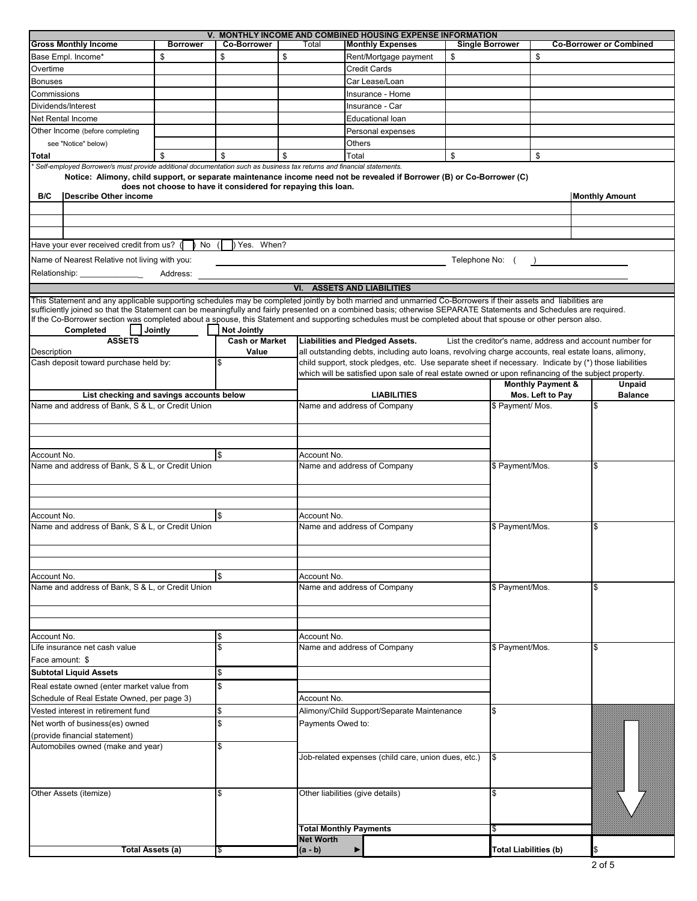|                                                                                                                                                                                                                                                                                                                                                     |                 |                                                               |                   | V. MONTHLY INCOME AND COMBINED HOUSING EXPENSE INFORMATION                                                             |                        |                                                          |                                |
|-----------------------------------------------------------------------------------------------------------------------------------------------------------------------------------------------------------------------------------------------------------------------------------------------------------------------------------------------------|-----------------|---------------------------------------------------------------|-------------------|------------------------------------------------------------------------------------------------------------------------|------------------------|----------------------------------------------------------|--------------------------------|
| <b>Gross Monthly Income</b>                                                                                                                                                                                                                                                                                                                         | <b>Borrower</b> | <b>Co-Borrower</b>                                            | Total             | <b>Monthly Expenses</b>                                                                                                | <b>Single Borrower</b> |                                                          | <b>Co-Borrower or Combined</b> |
| Base Empl. Income*                                                                                                                                                                                                                                                                                                                                  | \$              | \$                                                            | \$                | Rent/Mortgage payment                                                                                                  | \$                     | \$                                                       |                                |
| Overtime                                                                                                                                                                                                                                                                                                                                            |                 |                                                               |                   | <b>Credit Cards</b>                                                                                                    |                        |                                                          |                                |
| Bonuses                                                                                                                                                                                                                                                                                                                                             |                 |                                                               |                   | Car Lease/Loan                                                                                                         |                        |                                                          |                                |
| Commissions                                                                                                                                                                                                                                                                                                                                         |                 |                                                               |                   | Insurance - Home                                                                                                       |                        |                                                          |                                |
| Dividends/Interest                                                                                                                                                                                                                                                                                                                                  |                 |                                                               |                   | Insurance - Car                                                                                                        |                        |                                                          |                                |
| Net Rental Income                                                                                                                                                                                                                                                                                                                                   |                 |                                                               |                   | Educational loan                                                                                                       |                        |                                                          |                                |
| Other Income (before completing                                                                                                                                                                                                                                                                                                                     |                 |                                                               |                   | Personal expenses                                                                                                      |                        |                                                          |                                |
| see "Notice" below)                                                                                                                                                                                                                                                                                                                                 |                 |                                                               |                   | Others                                                                                                                 |                        |                                                          |                                |
| Total                                                                                                                                                                                                                                                                                                                                               | \$              | \$                                                            | \$                | Total                                                                                                                  | \$                     | \$                                                       |                                |
| Self-employed Borrower/s must provide additional documentation such as business tax returns and financial statements.                                                                                                                                                                                                                               |                 |                                                               |                   |                                                                                                                        |                        |                                                          |                                |
| B/C<br><b>Describe Other income</b>                                                                                                                                                                                                                                                                                                                 |                 | does not choose to have it considered for repaying this loan. |                   | Notice: Alimony, child support, or separate maintenance income need not be revealed if Borrower (B) or Co-Borrower (C) |                        |                                                          | <b>Monthly Amount</b>          |
|                                                                                                                                                                                                                                                                                                                                                     |                 |                                                               |                   |                                                                                                                        |                        |                                                          |                                |
|                                                                                                                                                                                                                                                                                                                                                     |                 |                                                               |                   |                                                                                                                        |                        |                                                          |                                |
| Have your ever received credit from us? (                                                                                                                                                                                                                                                                                                           | No (            | Yes. When?                                                    |                   |                                                                                                                        |                        |                                                          |                                |
| Name of Nearest Relative not living with you:                                                                                                                                                                                                                                                                                                       |                 |                                                               |                   |                                                                                                                        | Telephone No: (        |                                                          |                                |
| Relationship: ________________                                                                                                                                                                                                                                                                                                                      | Address:        |                                                               |                   |                                                                                                                        |                        |                                                          |                                |
|                                                                                                                                                                                                                                                                                                                                                     |                 |                                                               |                   | <b>VI. ASSETS AND LIABILITIES</b>                                                                                      |                        |                                                          |                                |
| This Statement and any applicable supporting schedules may be completed jointly by both married and unmarried Co-Borrowers if their assets and liabilities are                                                                                                                                                                                      |                 |                                                               |                   |                                                                                                                        |                        |                                                          |                                |
| sufficiently joined so that the Statement can be meaningfully and fairly presented on a combined basis; otherwise SEPARATE Statements and Schedules are required.<br>If the Co-Borrower section was completed about a spouse, this Statement and supporting schedules must be completed about that spouse or other person also.<br><b>Completed</b> | Jointly         | <b>Not Jointly</b>                                            |                   |                                                                                                                        |                        |                                                          |                                |
| <b>ASSETS</b>                                                                                                                                                                                                                                                                                                                                       |                 | <b>Cash or Market</b>                                         |                   | <b>Liabilities and Pledged Assets.</b>                                                                                 |                        | List the creditor's name, address and account number for |                                |
| Description                                                                                                                                                                                                                                                                                                                                         |                 | Value                                                         |                   | all outstanding debts, including auto loans, revolving charge accounts, real estate loans, alimony,                    |                        |                                                          |                                |
| Cash deposit toward purchase held by:                                                                                                                                                                                                                                                                                                               |                 | \$                                                            |                   | child support, stock pledges, etc. Use separate sheet if necessary. Indicate by (*) those liabilities                  |                        |                                                          |                                |
|                                                                                                                                                                                                                                                                                                                                                     |                 |                                                               |                   | which will be satisfied upon sale of real estate owned or upon refinancing of the subject property.                    |                        |                                                          |                                |
|                                                                                                                                                                                                                                                                                                                                                     |                 |                                                               |                   |                                                                                                                        |                        | <b>Monthly Payment &amp;</b>                             | Unpaid                         |
| List checking and savings accounts below                                                                                                                                                                                                                                                                                                            |                 |                                                               |                   | <b>LIABILITIES</b>                                                                                                     |                        | Mos. Left to Pay                                         | <b>Balance</b>                 |
| Name and address of Bank, S & L, or Credit Union                                                                                                                                                                                                                                                                                                    |                 |                                                               |                   | Name and address of Company                                                                                            |                        | \$ Payment/ Mos.                                         |                                |
|                                                                                                                                                                                                                                                                                                                                                     |                 |                                                               |                   |                                                                                                                        |                        |                                                          |                                |
| l\$<br>Account No.<br>Name and address of Bank, S & L, or Credit Union                                                                                                                                                                                                                                                                              |                 |                                                               | Account No.       |                                                                                                                        |                        |                                                          |                                |
| Account No.                                                                                                                                                                                                                                                                                                                                         |                 | \$                                                            | Account No.       | Name and address of Company                                                                                            |                        | \$ Payment/Mos.                                          |                                |
| Name and address of Bank, S & L, or Credit Union                                                                                                                                                                                                                                                                                                    |                 |                                                               |                   | Name and address of Company                                                                                            |                        | \$ Payment/Mos.                                          | \$                             |
|                                                                                                                                                                                                                                                                                                                                                     |                 |                                                               |                   |                                                                                                                        |                        |                                                          |                                |
| Account No.                                                                                                                                                                                                                                                                                                                                         |                 | l\$                                                           | Account No.       |                                                                                                                        |                        |                                                          |                                |
| Name and address of Bank, S & L, or Credit Union                                                                                                                                                                                                                                                                                                    |                 |                                                               |                   | Name and address of Company                                                                                            |                        | \$ Payment/Mos.                                          | \$                             |
| Account No.                                                                                                                                                                                                                                                                                                                                         |                 | \$                                                            | Account No.       |                                                                                                                        |                        |                                                          |                                |
| Life insurance net cash value                                                                                                                                                                                                                                                                                                                       |                 | \$                                                            |                   | Name and address of Company                                                                                            |                        | \$ Payment/Mos.                                          | \$                             |
| Face amount: \$                                                                                                                                                                                                                                                                                                                                     |                 |                                                               |                   |                                                                                                                        |                        |                                                          |                                |
| <b>Subtotal Liquid Assets</b>                                                                                                                                                                                                                                                                                                                       |                 | \$                                                            |                   |                                                                                                                        |                        |                                                          |                                |
|                                                                                                                                                                                                                                                                                                                                                     |                 |                                                               |                   |                                                                                                                        |                        |                                                          |                                |
| Real estate owned (enter market value from                                                                                                                                                                                                                                                                                                          |                 | <b>S</b>                                                      |                   |                                                                                                                        |                        |                                                          |                                |
| Schedule of Real Estate Owned, per page 3)                                                                                                                                                                                                                                                                                                          |                 |                                                               | Account No.       |                                                                                                                        | \$                     |                                                          |                                |
| Vested interest in retirement fund                                                                                                                                                                                                                                                                                                                  | \$              |                                                               |                   | Alimony/Child Support/Separate Maintenance                                                                             |                        |                                                          |                                |
| Net worth of business(es) owned                                                                                                                                                                                                                                                                                                                     |                 | \$                                                            | Payments Owed to: |                                                                                                                        |                        |                                                          |                                |
| (provide financial statement)                                                                                                                                                                                                                                                                                                                       |                 |                                                               |                   |                                                                                                                        |                        |                                                          |                                |
| Automobiles owned (make and year)<br>Other Assets (itemize)                                                                                                                                                                                                                                                                                         |                 | \$<br><b>S</b>                                                |                   | Job-related expenses (child care, union dues, etc.)<br>Other liabilities (give details)                                | \$<br>\$               |                                                          |                                |
|                                                                                                                                                                                                                                                                                                                                                     |                 |                                                               |                   | <b>Total Monthly Payments</b>                                                                                          | \$                     |                                                          |                                |
|                                                                                                                                                                                                                                                                                                                                                     |                 |                                                               | <b>Net Worth</b>  |                                                                                                                        |                        |                                                          |                                |
| <b>Total Assets (a)</b>                                                                                                                                                                                                                                                                                                                             |                 | S,                                                            | (a - b)           | ▶                                                                                                                      |                        | <b>Total Liabilities (b)</b>                             | S                              |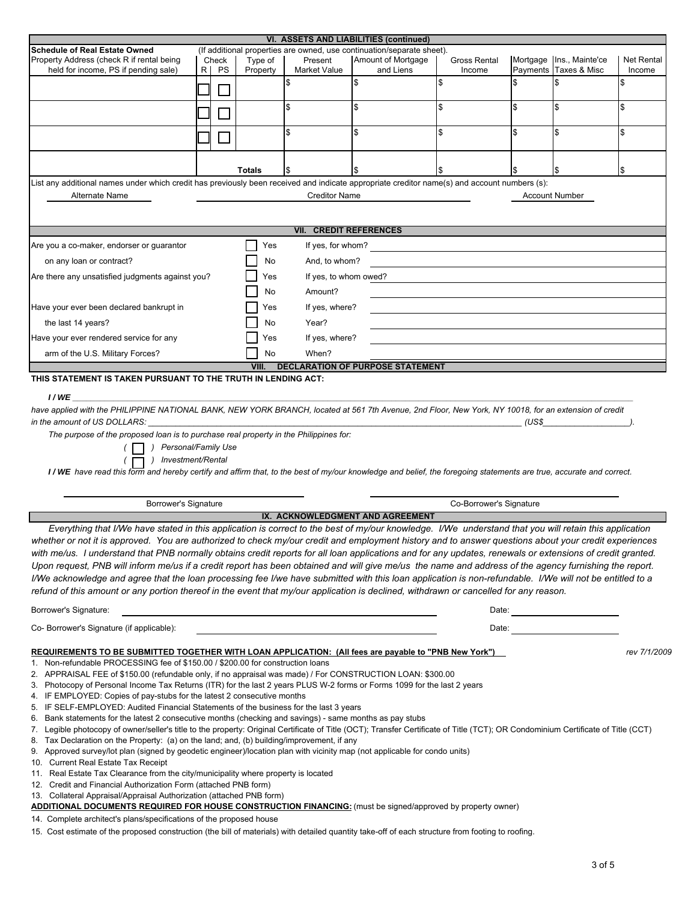| <b>Schedule of Real Estate Owned</b><br>Property Address (check R if rental being<br>held for income, PS if pending sale)                                                                                                                                                                                                                                                                                                                                                                                                                                                                                                                                                                                                                                                                                                                                                                                                                    |     |       |               |                                                                         | VI. ASSETS AND LIABILITIES (continued)                                                                                |                         |                                                                                                                                                                                                                                |                   |
|----------------------------------------------------------------------------------------------------------------------------------------------------------------------------------------------------------------------------------------------------------------------------------------------------------------------------------------------------------------------------------------------------------------------------------------------------------------------------------------------------------------------------------------------------------------------------------------------------------------------------------------------------------------------------------------------------------------------------------------------------------------------------------------------------------------------------------------------------------------------------------------------------------------------------------------------|-----|-------|---------------|-------------------------------------------------------------------------|-----------------------------------------------------------------------------------------------------------------------|-------------------------|--------------------------------------------------------------------------------------------------------------------------------------------------------------------------------------------------------------------------------|-------------------|
|                                                                                                                                                                                                                                                                                                                                                                                                                                                                                                                                                                                                                                                                                                                                                                                                                                                                                                                                              |     | Check | Type of       | Present                                                                 | (If additional properties are owned, use continuation/separate sheet).<br>Amount of Mortgage                          | Gross Rental            | Mortgage Ins., Mainte'ce                                                                                                                                                                                                       | <b>Net Rental</b> |
|                                                                                                                                                                                                                                                                                                                                                                                                                                                                                                                                                                                                                                                                                                                                                                                                                                                                                                                                              | R I | PS    | Property      | Market Value                                                            | and Liens                                                                                                             | Income<br>\$            | \$<br>Payments Taxes & Misc<br>ß.                                                                                                                                                                                              | Income            |
|                                                                                                                                                                                                                                                                                                                                                                                                                                                                                                                                                                                                                                                                                                                                                                                                                                                                                                                                              |     |       |               |                                                                         | \$                                                                                                                    | \$                      | \$<br>\$                                                                                                                                                                                                                       |                   |
|                                                                                                                                                                                                                                                                                                                                                                                                                                                                                                                                                                                                                                                                                                                                                                                                                                                                                                                                              |     |       |               |                                                                         | \$                                                                                                                    | \$                      | \$<br>\$                                                                                                                                                                                                                       |                   |
|                                                                                                                                                                                                                                                                                                                                                                                                                                                                                                                                                                                                                                                                                                                                                                                                                                                                                                                                              |     |       |               |                                                                         |                                                                                                                       |                         |                                                                                                                                                                                                                                |                   |
| List any additional names under which credit has previously been received and indicate appropriate creditor name(s) and account numbers (s):                                                                                                                                                                                                                                                                                                                                                                                                                                                                                                                                                                                                                                                                                                                                                                                                 |     |       | <b>Totals</b> |                                                                         |                                                                                                                       |                         | \$                                                                                                                                                                                                                             |                   |
| Alternate Name                                                                                                                                                                                                                                                                                                                                                                                                                                                                                                                                                                                                                                                                                                                                                                                                                                                                                                                               |     |       |               | <b>Creditor Name</b>                                                    |                                                                                                                       |                         | <b>Account Number</b>                                                                                                                                                                                                          |                   |
|                                                                                                                                                                                                                                                                                                                                                                                                                                                                                                                                                                                                                                                                                                                                                                                                                                                                                                                                              |     |       |               | <b>VII. CREDIT REFERENCES</b>                                           |                                                                                                                       |                         |                                                                                                                                                                                                                                |                   |
| Are you a co-maker, endorser or guarantor                                                                                                                                                                                                                                                                                                                                                                                                                                                                                                                                                                                                                                                                                                                                                                                                                                                                                                    |     |       | Yes           |                                                                         | If yes, for whom?                                                                                                     |                         |                                                                                                                                                                                                                                |                   |
| on any loan or contract?                                                                                                                                                                                                                                                                                                                                                                                                                                                                                                                                                                                                                                                                                                                                                                                                                                                                                                                     |     |       | No            | And, to whom?                                                           |                                                                                                                       |                         |                                                                                                                                                                                                                                |                   |
| Are there any unsatisfied judgments against you?                                                                                                                                                                                                                                                                                                                                                                                                                                                                                                                                                                                                                                                                                                                                                                                                                                                                                             |     |       | Yes           | If yes, to whom owed?                                                   |                                                                                                                       |                         |                                                                                                                                                                                                                                |                   |
|                                                                                                                                                                                                                                                                                                                                                                                                                                                                                                                                                                                                                                                                                                                                                                                                                                                                                                                                              |     |       | No            | Amount?                                                                 |                                                                                                                       |                         |                                                                                                                                                                                                                                |                   |
| Have your ever been declared bankrupt in                                                                                                                                                                                                                                                                                                                                                                                                                                                                                                                                                                                                                                                                                                                                                                                                                                                                                                     |     |       | Yes           | If yes, where?                                                          |                                                                                                                       |                         |                                                                                                                                                                                                                                |                   |
| the last 14 years?                                                                                                                                                                                                                                                                                                                                                                                                                                                                                                                                                                                                                                                                                                                                                                                                                                                                                                                           |     |       | No            | Year?                                                                   |                                                                                                                       |                         |                                                                                                                                                                                                                                |                   |
| Have your ever rendered service for any                                                                                                                                                                                                                                                                                                                                                                                                                                                                                                                                                                                                                                                                                                                                                                                                                                                                                                      |     |       | Yes           | If yes, where?                                                          |                                                                                                                       |                         |                                                                                                                                                                                                                                |                   |
| arm of the U.S. Military Forces?                                                                                                                                                                                                                                                                                                                                                                                                                                                                                                                                                                                                                                                                                                                                                                                                                                                                                                             |     |       | No            | When?                                                                   |                                                                                                                       |                         |                                                                                                                                                                                                                                |                   |
|                                                                                                                                                                                                                                                                                                                                                                                                                                                                                                                                                                                                                                                                                                                                                                                                                                                                                                                                              |     |       | VIII. I       |                                                                         | DECLARATION OF PURPOSE STATEMENT                                                                                      |                         |                                                                                                                                                                                                                                |                   |
| THIS STATEMENT IS TAKEN PURSUANT TO THE TRUTH IN LENDING ACT:                                                                                                                                                                                                                                                                                                                                                                                                                                                                                                                                                                                                                                                                                                                                                                                                                                                                                |     |       |               |                                                                         |                                                                                                                       |                         |                                                                                                                                                                                                                                |                   |
| The purpose of the proposed loan is to purchase real property in the Philippines for:<br>) Personal/Family Use<br>) Investment/Rental<br>I/WE have read this form and hereby certify and affirm that, to the best of my/our knowledge and belief, the foregoing statements are true, accurate and correct.                                                                                                                                                                                                                                                                                                                                                                                                                                                                                                                                                                                                                                   |     |       |               |                                                                         |                                                                                                                       |                         |                                                                                                                                                                                                                                |                   |
| <b>Borrower's Signature</b>                                                                                                                                                                                                                                                                                                                                                                                                                                                                                                                                                                                                                                                                                                                                                                                                                                                                                                                  |     |       |               |                                                                         |                                                                                                                       | Co-Borrower's Signature |                                                                                                                                                                                                                                |                   |
|                                                                                                                                                                                                                                                                                                                                                                                                                                                                                                                                                                                                                                                                                                                                                                                                                                                                                                                                              |     |       |               |                                                                         | IX. ACKNOWLEDGMENT AND AGREEMENT                                                                                      |                         |                                                                                                                                                                                                                                |                   |
| Everything that I/We have stated in this application is correct to the best of my/our knowledge. I/We understand that you will retain this application<br>whether or not it is approved. You are authorized to check my/our credit and employment history and to answer questions about your credit experiences<br>with me/us. I understand that PNB normally obtains credit reports for all loan applications and for any updates, renewals or extensions of credit granted.<br>Upon request. PNB will inform me/us if a credit report has been obtained and will give me/us the name and address of the agency furnishing the report.<br>I/We acknowledge and agree that the loan processing fee I/we have submitted with this loan application is non-refundable. I/We will not be entitled to a<br>refund of this amount or any portion thereof in the event that my/our application is declined, withdrawn or cancelled for any reason. |     |       |               |                                                                         |                                                                                                                       |                         |                                                                                                                                                                                                                                |                   |
| Borrower's Signature:                                                                                                                                                                                                                                                                                                                                                                                                                                                                                                                                                                                                                                                                                                                                                                                                                                                                                                                        |     |       |               |                                                                         |                                                                                                                       |                         | Date:                                                                                                                                                                                                                          |                   |
| Co- Borrower's Signature (if applicable):                                                                                                                                                                                                                                                                                                                                                                                                                                                                                                                                                                                                                                                                                                                                                                                                                                                                                                    |     |       |               |                                                                         |                                                                                                                       |                         | Date: the contract of the contract of the contract of the contract of the contract of the contract of the contract of the contract of the contract of the contract of the contract of the contract of the contract of the cont |                   |
| REQUIREMENTS TO BE SUBMITTED TOGETHER WITH LOAN APPLICATION: (All fees are payable to "PNB New York")<br>1. Non-refundable PROCESSING fee of \$150.00 / \$200.00 for construction loans<br>2. APPRAISAL FEE of \$150.00 (refundable only, if no appraisal was made) / For CONSTRUCTION LOAN: \$300.00                                                                                                                                                                                                                                                                                                                                                                                                                                                                                                                                                                                                                                        |     |       |               | 4. IF EMPLOYED: Copies of pay-stubs for the latest 2 consecutive months | Photocopy of Personal Income Tax Returns (ITR) for the last 2 years PLUS W-2 forms or Forms 1099 for the last 2 years |                         |                                                                                                                                                                                                                                | rev 7/1/2009      |

15. Cost estimate of the proposed construction (the bill of materials) with detailed quantity take-off of each structure from footing to roofing.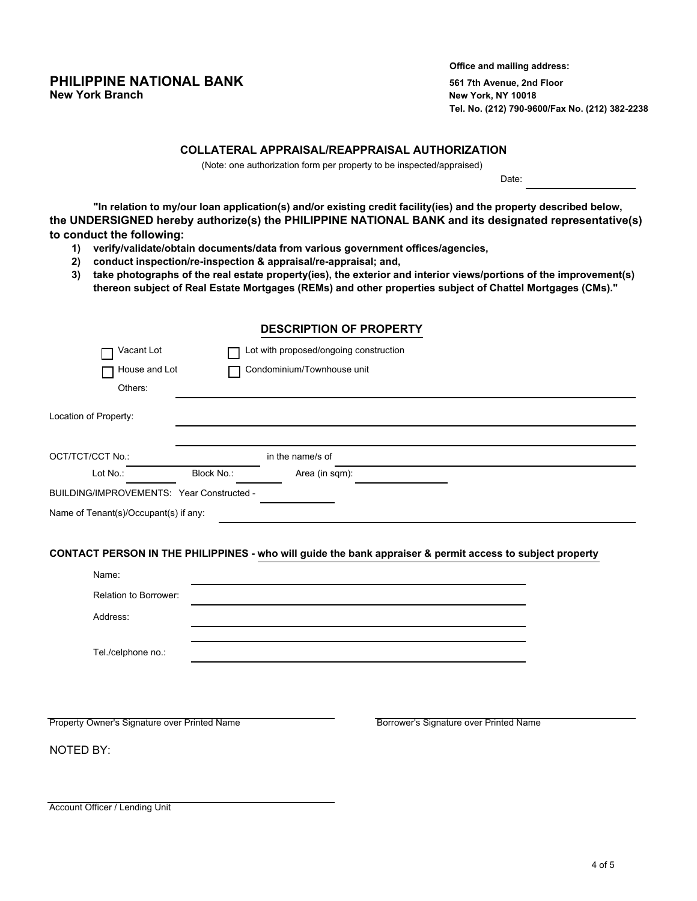# **PHILIPPINE NATIONAL BANK** 561 7th Avenue, 2nd Floor<br> **New York Branch** 30 and Figures 2nd Floor<br>
New York, NY 10018

**Office and mailing address: New York, NY 10018 Tel. No. (212) 790-9600/Fax No. (212) 382-2238**

#### **COLLATERAL APPRAISAL/REAPPRAISAL AUTHORIZATION**

(Note: one authorization form per property to be inspected/appraised)

Date:

**"In relation to my/our loan application(s) and/or existing credit facility(ies) and the property described below, the UNDERSIGNED hereby authorize(s) the PHILIPPINE NATIONAL BANK and its designated representative(s) to conduct the following:**

- **1) verify/validate/obtain documents/data from various government offices/agencies,**
- **2) conduct inspection/re-inspection & appraisal/re-appraisal; and,**
- **3) take photographs of the real estate property(ies), the exterior and interior views/portions of the improvement(s) thereon subject of Real Estate Mortgages (REMs) and other properties subject of Chattel Mortgages (CMs)."**

#### **DESCRIPTION OF PROPERTY**

| Vacant Lot                                   |            | Lot with proposed/ongoing construction |                                                                                                           |
|----------------------------------------------|------------|----------------------------------------|-----------------------------------------------------------------------------------------------------------|
| House and Lot                                |            | Condominium/Townhouse unit             |                                                                                                           |
| Others:                                      |            |                                        |                                                                                                           |
| Location of Property:                        |            |                                        |                                                                                                           |
| OCT/TCT/CCT No.:                             |            | in the name/s of                       |                                                                                                           |
| Lot No.:                                     | Block No.: | Area (in sqm):                         |                                                                                                           |
| BUILDING/IMPROVEMENTS: Year Constructed -    |            |                                        |                                                                                                           |
| Name of Tenant(s)/Occupant(s) if any:        |            |                                        |                                                                                                           |
|                                              |            |                                        | CONTACT PERSON IN THE PHILIPPINES - who will guide the bank appraiser & permit access to subject property |
| Name:                                        |            |                                        |                                                                                                           |
| Relation to Borrower:                        |            |                                        |                                                                                                           |
| Address:                                     |            |                                        |                                                                                                           |
| Tel./celphone no.:                           |            |                                        |                                                                                                           |
| Property Owner's Signature over Printed Name |            |                                        | Borrower's Signature over Printed Name                                                                    |

NOTED BY:

Account Officer / Lending Unit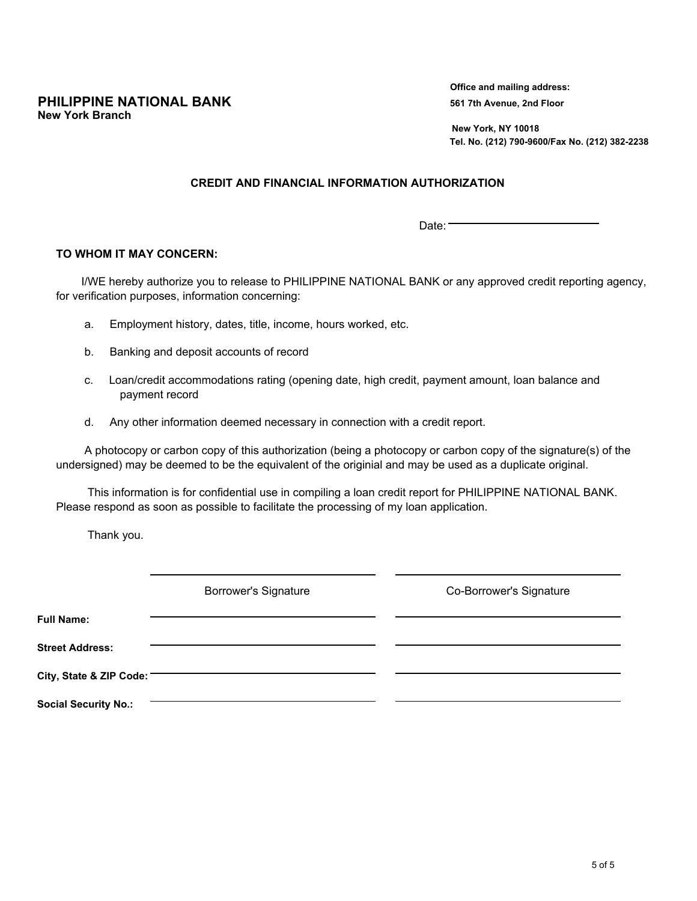**PHILIPPINE NATIONAL BANK** 561 7th Avenue, 2nd Floor **New York Branch**

**Office and mailing address:**

 **New York, NY 10018 Tel. No. (212) 790-9600/Fax No. (212) 382-2238**

#### **CREDIT AND FINANCIAL INFORMATION AUTHORIZATION**

 $Date:$ 

#### **TO WHOM IT MAY CONCERN:**

 I/WE hereby authorize you to release to PHILIPPINE NATIONAL BANK or any approved credit reporting agency, for verification purposes, information concerning:

- a. Employment history, dates, title, income, hours worked, etc.
- b. Banking and deposit accounts of record
- c. Loan/credit accommodations rating (opening date, high credit, payment amount, loan balance and payment record
- d. Any other information deemed necessary in connection with a credit report.

 A photocopy or carbon copy of this authorization (being a photocopy or carbon copy of the signature(s) of the undersigned) may be deemed to be the equivalent of the originial and may be used as a duplicate original.

 This information is for confidential use in compiling a loan credit report for PHILIPPINE NATIONAL BANK. Please respond as soon as possible to facilitate the processing of my loan application.

Thank you.

|                             | <b>Borrower's Signature</b> | Co-Borrower's Signature |
|-----------------------------|-----------------------------|-------------------------|
| <b>Full Name:</b>           |                             |                         |
| <b>Street Address:</b>      |                             |                         |
| City, State & ZIP Code:     |                             |                         |
| <b>Social Security No.:</b> |                             |                         |